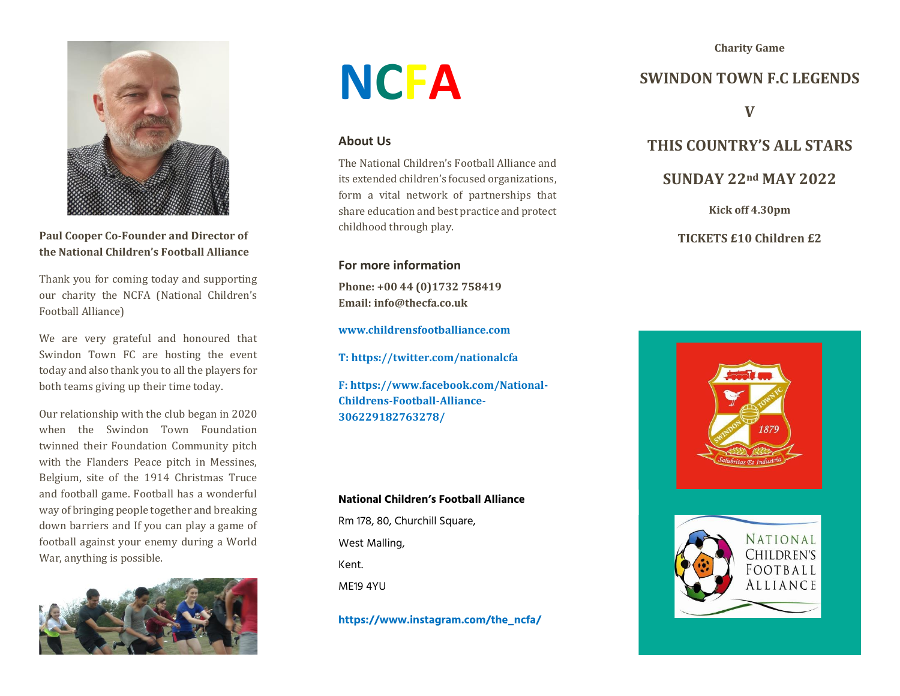**Charity Game**



**Paul Cooper Co-Founder and Director of the National Children's Football Alliance**

Thank you for coming today and supporting our charity the NCFA (National Children's Football Alliance)

We are very grateful and honoured that Swindon Town FC are hosting the event today and also thank you to all the players for both teams giving up their time today.

Our relationship with the club began in 2020 when the Swindon Town Foundation twinned their Foundation Community pitch with the Flanders Peace pitch in Messines, Belgium, site of the 1914 Christmas Truce and football game. Football has a wonderful way of bringing people together and breaking down barriers and If you can play a game of football against your enemy during a World War, anything is possible.



# **NCFA**

### **About Us**

The National Children's Football Alliance and its extended children's focused organizations, form a vital network of partnerships that share education and best practice and protect childhood through play.

## **For more information**

**Phone: +00 44 (0)1732 758419 Email: info@thecfa.co.uk**

**[www.childrensfootballiance.com](http://www.childrensfootballiance.com/)**

**T[: https://twitter.com/nationalcfa](https://twitter.com/nationalcfa)**

**F[: https://www.facebook.com/National-](https://www.facebook.com/National-Childrens-Football-Alliance-306229182763278/)[Childrens-Football-Alliance-](https://www.facebook.com/National-Childrens-Football-Alliance-306229182763278/)[306229182763278/](https://www.facebook.com/National-Childrens-Football-Alliance-306229182763278/)**

#### **National Children's Football Alliance**

Rm 178, 80, Churchill Square, West Malling, Kent. ME19 4YU

**https://www.instagram.com/the\_ncfa/**

# **SWINDON TOWN F.C LEGENDS**

**V**

## **THIS COUNTRY'S ALL STARS**

## **SUNDAY 22nd MAY 2022**

**Kick off 4.30pm**

#### **TICKETS £10 Children £2**